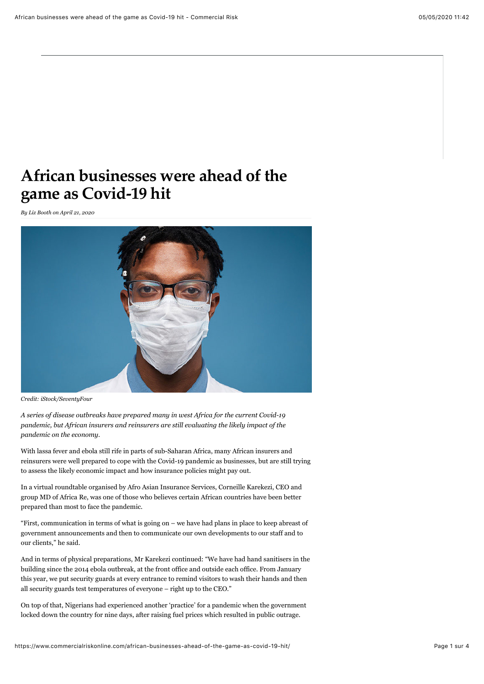## **African businesses were ahead of the game as Covid-19 hit**

*By [Liz Booth](https://www.commercialriskonline.com/author/liz-booth/) on April 21, 2020* 



*Credit: iStock/SeventyFour*

*A series of disease outbreaks have prepared many in west Africa for the current Covid-19 pandemic, but African insurers and reinsurers are still evaluating the likely impact of the pandemic on the economy.*

With lassa fever and ebola still rife in parts of sub-Saharan Africa, many African insurers and reinsurers were well prepared to cope with the Covid-19 pandemic as businesses, but are still trying to assess the likely economic impact and how insurance policies might pay out.

In a virtual roundtable organised by Afro Asian Insurance Services, Corneille Karekezi, CEO and group MD of Africa Re, was one of those who believes certain African countries have been better prepared than most to face the pandemic.

"First, communication in terms of what is going on – we have had plans in place to keep abreast of government announcements and then to communicate our own developments to our staff and to our clients," he said.

And in terms of physical preparations, Mr Karekezi continued: "We have had hand sanitisers in the building since the 2014 ebola outbreak, at the front office and outside each office. From January this year, we put security guards at every entrance to remind visitors to wash their hands and then all security guards test temperatures of everyone – right up to the CEO."

On top of that, Nigerians had experienced another 'practice' for a pandemic when the government locked down the country for nine days, after raising fuel prices which resulted in public outrage.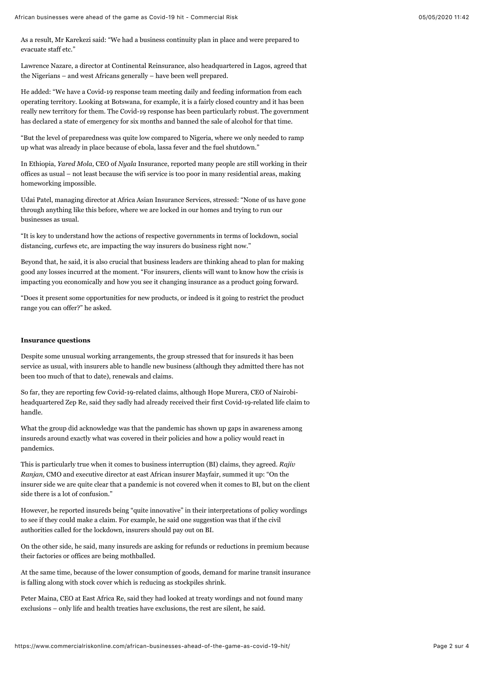As a result, Mr Karekezi said: "We had a business continuity plan in place and were prepared to evacuate staff etc."

Lawrence Nazare, a director at Continental Reinsurance, also headquartered in Lagos, agreed that the Nigerians – and west Africans generally – have been well prepared.

He added: "We have a Covid-19 response team meeting daily and feeding information from each operating territory. Looking at Botswana, for example, it is a fairly closed country and it has been really new territory for them. The Covid-19 response has been particularly robust. The government has declared a state of emergency for six months and banned the sale of alcohol for that time.

"But the level of preparedness was quite low compared to Nigeria, where we only needed to ramp up what was already in place because of ebola, lassa fever and the fuel shutdown."

In Ethiopia, *Yared Mola*, CEO of *Nyala* Insurance, reported many people are still working in their offices as usual – not least because the wifi service is too poor in many residential areas, making homeworking impossible.

Udai Patel, managing director at Africa Asian Insurance Services, stressed: "None of us have gone through anything like this before, where we are locked in our homes and trying to run our businesses as usual.

"It is key to understand how the actions of respective governments in terms of lockdown, social distancing, curfews etc, are impacting the way insurers do business right now."

Beyond that, he said, it is also crucial that business leaders are thinking ahead to plan for making good any losses incurred at the moment. "For insurers, clients will want to know how the crisis is impacting you economically and how you see it changing insurance as a product going forward.

"Does it present some opportunities for new products, or indeed is it going to restrict the product range you can offer?" he asked.

## **Insurance questions**

Despite some unusual working arrangements, the group stressed that for insureds it has been service as usual, with insurers able to handle new business (although they admitted there has not been too much of that to date), renewals and claims.

So far, they are reporting few Covid-19-related claims, although Hope Murera, CEO of Nairobiheadquartered Zep Re, said they sadly had already received their first Covid-19-related life claim to handle.

What the group did acknowledge was that the pandemic has shown up gaps in awareness among insureds around exactly what was covered in their policies and how a policy would react in pandemics.

This is particularly true when it comes to business interruption (BI) claims, they agreed. *Rajiv Ranjan,* CMO and executive director at east African insurer Mayfair, summed it up: "On the insurer side we are quite clear that a pandemic is not covered when it comes to BI, but on the client side there is a lot of confusion."

However, he reported insureds being "quite innovative" in their interpretations of policy wordings to see if they could make a claim. For example, he said one suggestion was that if the civil authorities called for the lockdown, insurers should pay out on BI.

On the other side, he said, many insureds are asking for refunds or reductions in premium because their factories or offices are being mothballed.

At the same time, because of the lower consumption of goods, demand for marine transit insurance is falling along with stock cover which is reducing as stockpiles shrink.

Peter Maina, CEO at East Africa Re, said they had looked at treaty wordings and not found many exclusions – only life and health treaties have exclusions, the rest are silent, he said.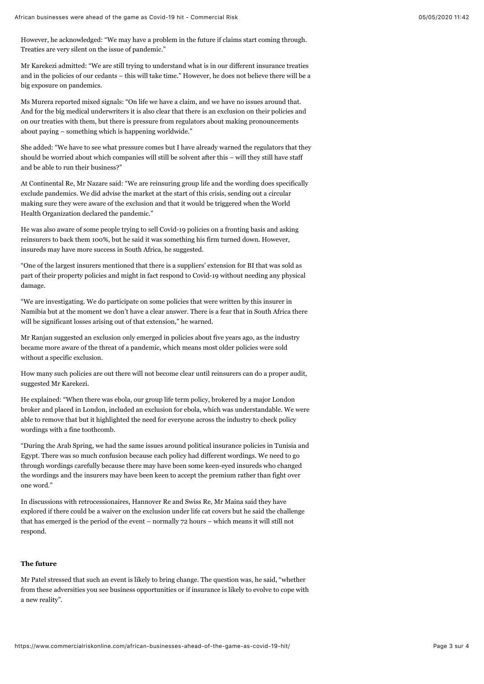However, he acknowledged: "We may have a problem in the future if claims start coming through. Treaties are very silent on the issue of pandemic."

Mr Karekezi admitted: "We are still trying to understand what is in our different insurance treaties and in the policies of our cedants – this will take time." However, he does not believe there will be a big exposure on pandemics.

Ms Murera reported mixed signals: "On life we have a claim, and we have no issues around that. And for the big medical underwriters it is also clear that there is an exclusion on their policies and on our treaties with them, but there is pressure from regulators about making pronouncements about paying – something which is happening worldwide."

She added: "We have to see what pressure comes but I have already warned the regulators that they should be worried about which companies will still be solvent after this – will they still have staff and be able to run their business?"

At Continental Re, Mr Nazare said: "We are reinsuring group life and the wording does specifically exclude pandemics. We did advise the market at the start of this crisis, sending out a circular making sure they were aware of the exclusion and that it would be triggered when the World Health Organization declared the pandemic."

He was also aware of some people trying to sell Covid-19 policies on a fronting basis and asking reinsurers to back them 100%, but he said it was something his firm turned down. However, insureds may have more success in South Africa, he suggested.

"One of the largest insurers mentioned that there is a suppliers' extension for BI that was sold as part of their property policies and might in fact respond to Covid-19 without needing any physical damage.

"We are investigating. We do participate on some policies that were written by this insurer in Namibia but at the moment we don't have a clear answer. There is a fear that in South Africa there will be significant losses arising out of that extension," he warned.

Mr Ranjan suggested an exclusion only emerged in policies about five years ago, as the industry became more aware of the threat of a pandemic, which means most older policies were sold without a specific exclusion.

How many such policies are out there will not become clear until reinsurers can do a proper audit, suggested Mr Karekezi.

He explained: "When there was ebola, our group life term policy, brokered by a major London broker and placed in London, included an exclusion for ebola, which was understandable. We were able to remove that but it highlighted the need for everyone across the industry to check policy wordings with a fine toothcomb.

"During the Arab Spring, we had the same issues around political insurance policies in Tunisia and Egypt. There was so much confusion because each policy had different wordings. We need to go through wordings carefully because there may have been some keen-eyed insureds who changed the wordings and the insurers may have been keen to accept the premium rather than fight over one word."

In discussions with retrocessionaires, Hannover Re and Swiss Re, Mr Maina said they have explored if there could be a waiver on the exclusion under life cat covers but he said the challenge that has emerged is the period of the event – normally 72 hours – which means it will still not respond.

## **The future**

Mr Patel stressed that such an event is likely to bring change. The question was, he said, "whether from these adversities you see business opportunities or if insurance is likely to evolve to cope with a new reality".